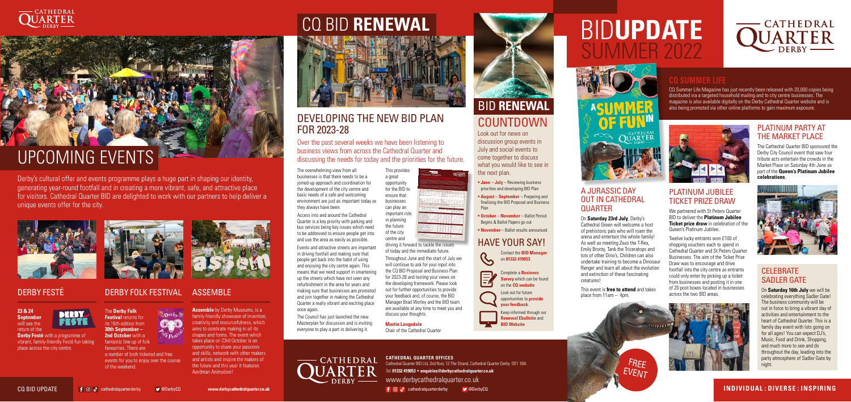**CATHEDRAL QUARTER OFFICES** Cathedral Quarter BID Ltd, 2nd floor, 12 The Strand, Cathedral Quarter Derby DE1 1BA Tel: **01332 419053** • **enquiries@derbycathedralquarter.co.uk** www.derbycathedralquarter.co.uk cathedralquarter.co.uk and the cathedralquarter.co.uk cathedralquarterderby and cathedralquarterderby and cathedralquarterderby  $\bullet$  @DerbyCQ

**CO BID UPDATE f** © **f** athedralquarterderby **v** @DerbyCQ



# UPCOMING EVENTS

## CQ BID **RENEWAL**



#### A JURASSIC DAY OUT IN CATHEDRAL QUARTER

On **Saturday 23rd July**, Derby's Cathedral Green will welcome a host of prehistoric pals who will roam the arena and entertain the whole family! As well as meeting Zeus the T-Rex, Emily Bronty, Tank the Triceratops and lots of other Dino's, Children can also undertake training to become a Dinosaur Ranger and learn all about the evolution and extinction of these fascinating creatures!

This event is **free to attend** and takes place from 11am – 4pm.

> FREE **EVENT**



#### PLATINUM JUBILEE TICKET PRIZE DRAW

We partnered with St Peters Quarter BID to deliver the **Platinum Jubilee Ticket prize draw** in celebration of the Queen's Platinum Jubilee.

#### **CELEBRATE** SADLER GATE

Twelve lucky entrants won £100 of shopping vouchers each to spend in Cathedral Quarter and St Peters Quarter Businesses. The aim of the Ticket Prize Draw was to encourage and drive footfall into the city centre as entrants could only enter by picking up a ticket from businesses and posting it in one of 20 post boxes located in businesses across the two BID areas.



#### PLATINUM PARTY AT THE MARKET PLACE

The Cathedral Quarter BID sponsored the Derby City Council event that saw four tribute acts entertain the crowds in the Market Place on Saturday 4th June as part of the **Queen's Platinum Jubilee celebrations**.



# BID**UPDATE** SUMMER 2022



### **CQ SUMMER LIFE**

CQ Summer Life Magazine has just recently been released with 20,000 copies being distributed via a targeted household mailing and to city centre businesses. The magazine is also available digitally on the Derby Cathedral Quarter website and is also being promoted via other online platforms to gain maximum exposure.

The Council has just launched the new Masterplan for discussion and is inviting everyone to play a part in delivering it.

On **Saturday 16th July** we will be celebrating everything Sadler Gate! The business community will be out in force to bring a vibrant day of activities and entertainment to the heart of Cathedral Quarter. This is a family day event with lots going on for all ages! You can expect DJ's, Music, Food and Drink, Shopping, and much more to see and do throughout the day, leading into the party atmosphere of Sadler Gate by night.

#### **23 & 24 September** will see the





## DEVELOPING THE NEW BID PLAN FOR 2023-28

Over the past several weeks we have been listening to business views from across the Cathedral Quarter and discussing the needs for today and the priorities for the future.

**Assemble** by Derby Museums, is a family-friendly showcase of invention, creativity and resourcefulness, which aims to celebrate making in all its shapes and forms. The event which takes place on 23rd October is an opportunity to share your passions and skills, network with other makers and artists and inspire the makers of the future and this year it features Aardman Animation!

The overwhelming view from all businesses is that there needs to be a joined-up approach and coordination for the development of the city centre and basic needs of a safe and welcoming environment are just as important today as they always have been.

Access into and around the Cathedral Quarter is a key priority with parking and bus services being key issues which need

and use the area as easily as possible.

in driving footfall and making sure that people get back into the habit of using and enjoying the city centre again. This means that we need support in smartening up the streets which have not seen any refurbishment in the area for years and making sure that businesses are promoted and join together in making the Cathedral Quarter a really vibrant and exciting place

to be addressed to ensure people get into Events and attractive streets are important centre and driving it forward to tackle the issues

once again.

of today and the immediate future.



Throughout June and the start of July we will continue to ask for your input into the CQ BID Proposal and Business Plan for 2023-28 and testing your views on the developing framework. Please look out for further opportunities to provide your feedback and, of course, the BID Manager Brad Worley and the BID team are available at any time to meet you and discuss your thoughts.

#### **Martin Langsdale**

Chair of the Cathedral Quarter



Derby's cultural offer and events programme plays a huge part in shaping our identity, generating year-round footfall and in creating a more vibrant, safe, and attractive place for visitors. Cathedral Quarter BID are delighted to work with our partners to help deliver a unique events offer for the city.



### DERBY FESTÉ

return of the **Derby Festé** with a programme of vibrant, family-friendly Festé fun taking place across the city centre.



#### DERBY FOLK FESTIVAL



favourites. There are a number of both ticketed and free events for you to enjoy over the course of the weekend.



#### ASSEMBLE

This provides a great opportunity for the BID to ensure that businesses can play an important role in planning the future of the city shared with others. Crime and safety generally Personal safety during the day Personal safety evenings/night Street begging and rough sleepers Drug and drink issues on the streets Police support for your business Road signage in and out of Cathedral Quarter Road signage around Cathedral Quarter Pedestrian signage and information Availability of business/customer parking Bus services in and out of Cathedral Quarter Delivery access, loading and unloading Condition of street furniture Green and attractive spaces and oral displays Date of interview/survey: Initials of interviewer/surveyor:

| indials of subscribers countrying<br>CATHEDRAL QUARTER<br>٠<br>٠<br>Since 200g pushering Souther unters Cathosian Confer part train amount the linearist of language of city as award uncome Russians<br>implements Catal (Str). The column four year 8D been comes to us end on 20th Friendy. 2021 and no who your views on what you<br>which we the ED deterministed of the CD independence the next for years (2009-2008). This part doesn't will relate in du this year<br>musicial grands il provinciale interactional musicial programmatical controller discogenite und la languagemente confidential and not<br>f yn y wudd hy bedablo i par rinn, ambatrifedd Del Loyay hem adbannin Leo di he Cabedel Qualer IID ysan pilo y corfod y el EC<br>allice an go said 47 food and a series and a fire approach the space of a section of an end arong a series part files that it (assessed for | <b>EXAMT</b> |        |                                                                                          |  | ٠<br>- 1 | <b>CATHEDRA</b><br><b>UARTER</b>                                                                                        |  |  |
|------------------------------------------------------------------------------------------------------------------------------------------------------------------------------------------------------------------------------------------------------------------------------------------------------------------------------------------------------------------------------------------------------------------------------------------------------------------------------------------------------------------------------------------------------------------------------------------------------------------------------------------------------------------------------------------------------------------------------------------------------------------------------------------------------------------------------------------------------------------------------------------------------|--------------|--------|------------------------------------------------------------------------------------------|--|----------|-------------------------------------------------------------------------------------------------------------------------|--|--|
| yn a bodinn, Alexandrasy please complete and other outlet RD uther ris and at the network in the effect of the same of this same,<br>SECTION 1 - Contact details - or please attach a business card                                                                                                                                                                                                                                                                                                                                                                                                                                                                                                                                                                                                                                                                                                  |              |        |                                                                                          |  |          |                                                                                                                         |  |  |
| <b>Cartari</b> <sub>Parman</sub>                                                                                                                                                                                                                                                                                                                                                                                                                                                                                                                                                                                                                                                                                                                                                                                                                                                                     |              |        |                                                                                          |  |          |                                                                                                                         |  |  |
| man .                                                                                                                                                                                                                                                                                                                                                                                                                                                                                                                                                                                                                                                                                                                                                                                                                                                                                                |              |        | Performance of the bear offers details before (if applicable)<br>antactivam <sub>a</sub> |  |          |                                                                                                                         |  |  |
| <b>Business and the Cour products</b>                                                                                                                                                                                                                                                                                                                                                                                                                                                                                                                                                                                                                                                                                                                                                                                                                                                                |              |        | <b>Paradiser</b>                                                                         |  |          |                                                                                                                         |  |  |
| <b>Silver</b>                                                                                                                                                                                                                                                                                                                                                                                                                                                                                                                                                                                                                                                                                                                                                                                                                                                                                        |              |        | <b>Head office address</b>                                                               |  |          |                                                                                                                         |  |  |
| <b>MARINE</b>                                                                                                                                                                                                                                                                                                                                                                                                                                                                                                                                                                                                                                                                                                                                                                                                                                                                                        |              |        | s.                                                                                       |  |          |                                                                                                                         |  |  |
| <b>Drugf add.</b>                                                                                                                                                                                                                                                                                                                                                                                                                                                                                                                                                                                                                                                                                                                                                                                                                                                                                    |              |        | Mon <sub>danie</sub>                                                                     |  |          |                                                                                                                         |  |  |
|                                                                                                                                                                                                                                                                                                                                                                                                                                                                                                                                                                                                                                                                                                                                                                                                                                                                                                      |              |        | <b>Profession</b>                                                                        |  |          |                                                                                                                         |  |  |
| SECTION 2 - Your thoughts on Cathedral Quarter (BID area)<br>Please hally the way by a personally but above California Constructing a scalinary 1 to 1.0 To any pass And 1 = way and<br>Ford & Player industry have parenthus the different agents of<br>Calved al Distance Contractor application of any distance contractor (by)<br>with class strip from to strip good.                                                                                                                                                                                                                                                                                                                                                                                                                                                                                                                           | Time         | Outlet | Patta.<br>$\overline{a}$                                                                 |  |          | Park B                                                                                                                  |  |  |
| Part B. Please constant a scale of 1 to 1 hour impartant it is the year<br>business for these hours to be equipment<br><b>OBRIGAD WITH</b>                                                                                                                                                                                                                                                                                                                                                                                                                                                                                                                                                                                                                                                                                                                                                           |              |        |                                                                                          |  | m,       | Here in parties a model that be pour<br><b>Instrume to improve documents</b><br><b>Strong 1-Entrance Local populars</b> |  |  |
| Crane and <sub>safety</sub> gene <sub>rativ</sub>                                                                                                                                                                                                                                                                                                                                                                                                                                                                                                                                                                                                                                                                                                                                                                                                                                                    |              |        |                                                                                          |  |          | Audi compared                                                                                                           |  |  |
| Personal safety guarantee day                                                                                                                                                                                                                                                                                                                                                                                                                                                                                                                                                                                                                                                                                                                                                                                                                                                                        |              |        |                                                                                          |  |          |                                                                                                                         |  |  |
| Personal salesy every population                                                                                                                                                                                                                                                                                                                                                                                                                                                                                                                                                                                                                                                                                                                                                                                                                                                                     |              |        |                                                                                          |  |          |                                                                                                                         |  |  |
| <b>Special Description of the Control</b> and                                                                                                                                                                                                                                                                                                                                                                                                                                                                                                                                                                                                                                                                                                                                                                                                                                                        |              |        |                                                                                          |  |          |                                                                                                                         |  |  |
| Drug and drivers and or starts                                                                                                                                                                                                                                                                                                                                                                                                                                                                                                                                                                                                                                                                                                                                                                                                                                                                       |              |        |                                                                                          |  |          |                                                                                                                         |  |  |
| Crime and safety least, crystoder car parks by a parts and all                                                                                                                                                                                                                                                                                                                                                                                                                                                                                                                                                                                                                                                                                                                                                                                                                                       |              |        |                                                                                          |  |          |                                                                                                                         |  |  |
| <b>Everyon Crimer Shows Brant</b>                                                                                                                                                                                                                                                                                                                                                                                                                                                                                                                                                                                                                                                                                                                                                                                                                                                                    |              |        |                                                                                          |  |          |                                                                                                                         |  |  |
| also hilf you for you, business<br>ar <sub>ms</sub>                                                                                                                                                                                                                                                                                                                                                                                                                                                                                                                                                                                                                                                                                                                                                                                                                                                  |              |        |                                                                                          |  |          |                                                                                                                         |  |  |
| and his age in and you of Call admit Compa-                                                                                                                                                                                                                                                                                                                                                                                                                                                                                                                                                                                                                                                                                                                                                                                                                                                          |              |        |                                                                                          |  |          |                                                                                                                         |  |  |
| and signaps proced Capabal Queen                                                                                                                                                                                                                                                                                                                                                                                                                                                                                                                                                                                                                                                                                                                                                                                                                                                                     |              |        |                                                                                          |  |          |                                                                                                                         |  |  |
| additional signals and information.                                                                                                                                                                                                                                                                                                                                                                                                                                                                                                                                                                                                                                                                                                                                                                                                                                                                  |              |        |                                                                                          |  |          |                                                                                                                         |  |  |
| calability of business customer Parking                                                                                                                                                                                                                                                                                                                                                                                                                                                                                                                                                                                                                                                                                                                                                                                                                                                              |              |        |                                                                                          |  |          |                                                                                                                         |  |  |
| <b>Property</b>                                                                                                                                                                                                                                                                                                                                                                                                                                                                                                                                                                                                                                                                                                                                                                                                                                                                                      |              |        |                                                                                          |  |          |                                                                                                                         |  |  |
| a services in and out out Callerdon Charles                                                                                                                                                                                                                                                                                                                                                                                                                                                                                                                                                                                                                                                                                                                                                                                                                                                          |              |        |                                                                                          |  |          |                                                                                                                         |  |  |
| doesy as my looking and only address<br><b>TRACTIVING</b>                                                                                                                                                                                                                                                                                                                                                                                                                                                                                                                                                                                                                                                                                                                                                                                                                                            |              |        |                                                                                          |  |          |                                                                                                                         |  |  |
| and character and biter company                                                                                                                                                                                                                                                                                                                                                                                                                                                                                                                                                                                                                                                                                                                                                                                                                                                                      |              |        |                                                                                          |  |          |                                                                                                                         |  |  |
| relition of short famous                                                                                                                                                                                                                                                                                                                                                                                                                                                                                                                                                                                                                                                                                                                                                                                                                                                                             |              |        |                                                                                          |  |          |                                                                                                                         |  |  |
| To and all the company and fired that are                                                                                                                                                                                                                                                                                                                                                                                                                                                                                                                                                                                                                                                                                                                                                                                                                                                            |              |        |                                                                                          |  |          |                                                                                                                         |  |  |
|                                                                                                                                                                                                                                                                                                                                                                                                                                                                                                                                                                                                                                                                                                                                                                                                                                                                                                      |              |        |                                                                                          |  |          |                                                                                                                         |  |  |

## BID **RENEWAL** COUNTDOWN

Look out for news on discussion group events in July and social events to come together to discuss what you would like to see in the next plan.

- **June July** Reviewing business priorities and developing BID Plan
- **August September** Preparing and finalising the BID Proposal and Business Plan
- **October November** Ballot Period Begins & Ballot Papers go out
- **November** Ballot results announced

## HAVE YOUR SAY!

Contact the **BID Manager** on **01332 419053**



 $\mathcal{C}_2$ 

Complete a **Business Survey** which can be found on the **CQ website**

Look out for future opportunities to **provide your feedback**.

Keep informed through our **Renewal Ebulletin** and **BID Website**